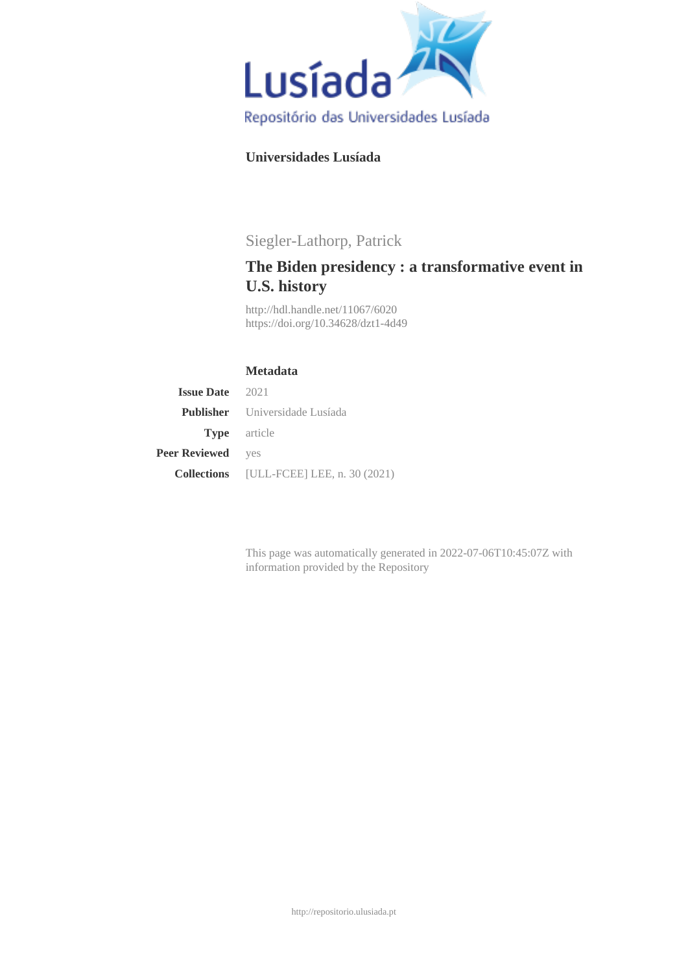

## **Universidades Lusíada**

# Siegler-Lathorp, Patrick

# **The Biden presidency : a transformative event in U.S. history**

<http://hdl.handle.net/11067/6020> <https://doi.org/10.34628/dzt1-4d49>

### **Metadata**

| <b>Issue Date</b> 2021   |                                                 |
|--------------------------|-------------------------------------------------|
|                          | <b>Publisher</b> Universidade Lusíada           |
|                          | <b>Type</b> article                             |
| <b>Peer Reviewed</b> yes |                                                 |
|                          | <b>Collections</b> [ULL-FCEE] LEE, n. 30 (2021) |

This page was automatically generated in 2022-07-06T10:45:07Z with information provided by the Repository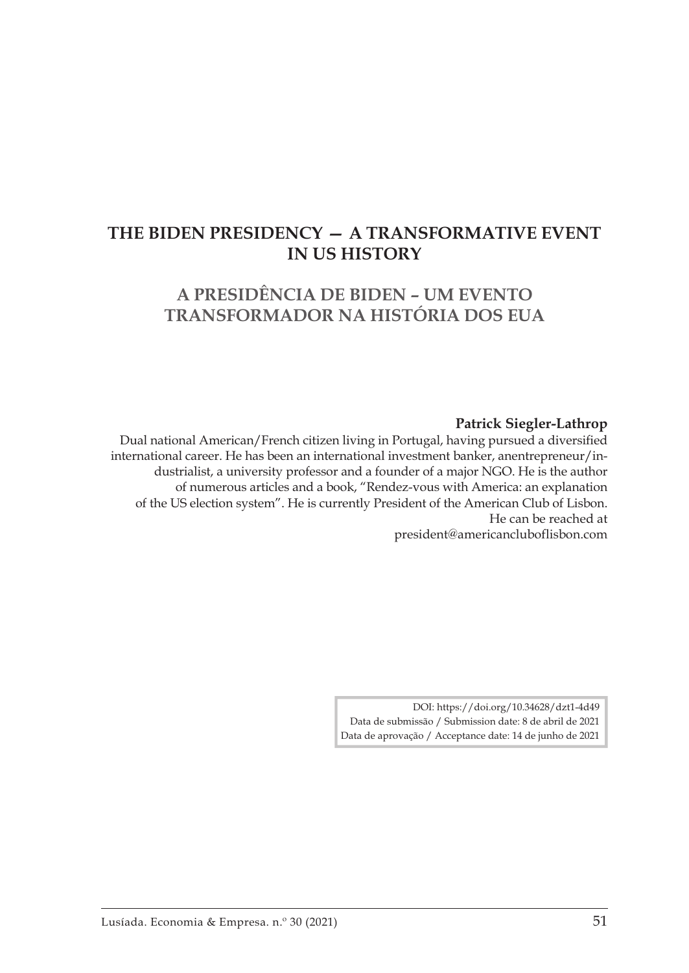## **THE BIDEN PRESIDENCY — A TRANSFORMATIVE EVENT IN US HISTORY**

## **A PRESIDÊNCIA DE BIDEN – UM EVENTO TRANSFORMADOR NA HISTÓRIA DOS EUA**

#### **Patrick Siegler-Lathrop**

Dual national American/French citizen living in Portugal, having pursued a diversified international career. He has been an international investment banker, anentrepreneur/industrialist, a university professor and a founder of a major NGO. He is the author of numerous articles and a book, "Rendez-vous with America: an explanation of the US election system". He is currently President of the American Club of Lisbon. He can be reached at president@americancluboflisbon.com

> DOI: https://doi.org/10.34628/dzt1-4d49 Data de submissão / Submission date: 8 de abril de 2021 Data de aprovação / Acceptance date: 14 de junho de 2021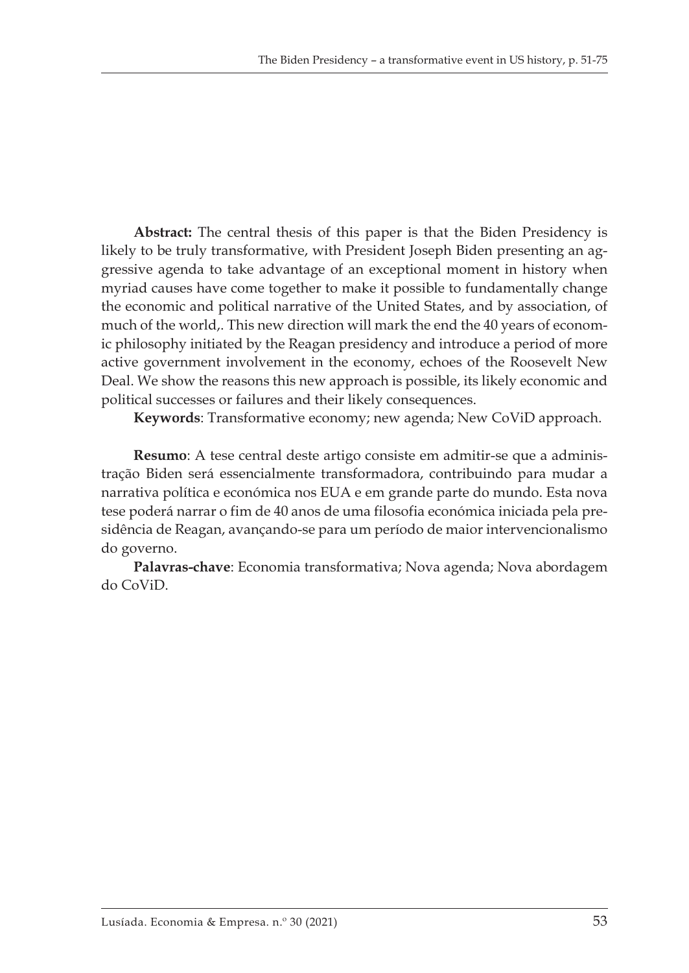**Abstract:** The central thesis of this paper is that the Biden Presidency is likely to be truly transformative, with President Joseph Biden presenting an aggressive agenda to take advantage of an exceptional moment in history when myriad causes have come together to make it possible to fundamentally change the economic and political narrative of the United States, and by association, of much of the world,. This new direction will mark the end the 40 years of economic philosophy initiated by the Reagan presidency and introduce a period of more active government involvement in the economy, echoes of the Roosevelt New Deal. We show the reasons this new approach is possible, its likely economic and political successes or failures and their likely consequences.

**Keywords**: Transformative economy; new agenda; New CoViD approach.

**Resumo**: A tese central deste artigo consiste em admitir-se que a administração Biden será essencialmente transformadora, contribuindo para mudar a narrativa política e económica nos EUA e em grande parte do mundo. Esta nova tese poderá narrar o fim de 40 anos de uma filosofia económica iniciada pela presidência de Reagan, avançando-se para um período de maior intervencionalismo do governo.

**Palavras-chave**: Economia transformativa; Nova agenda; Nova abordagem do CoViD.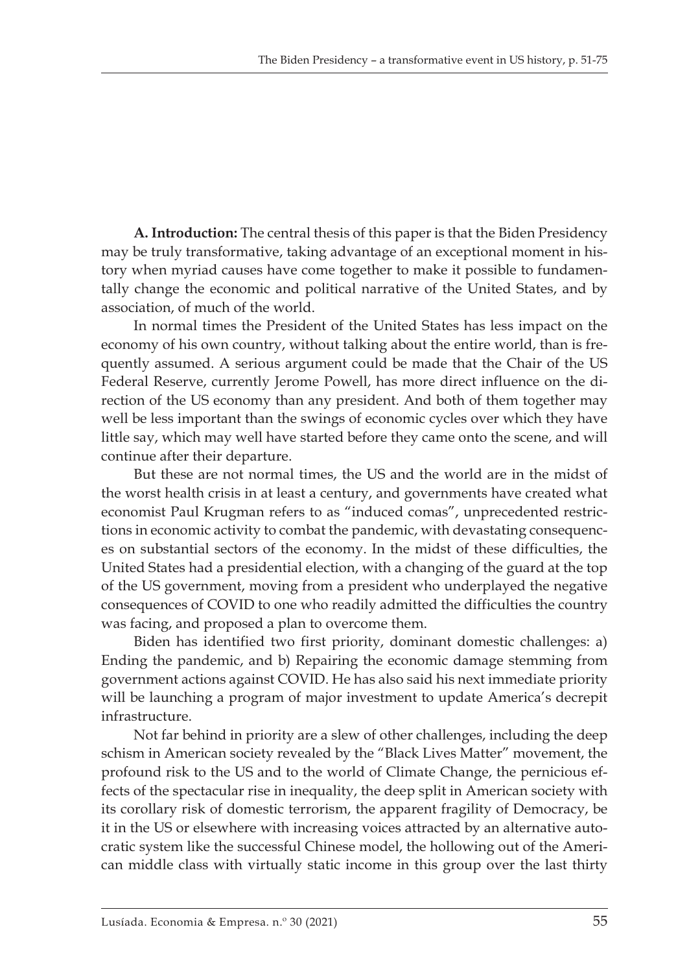**A. Introduction:** The central thesis of this paper is that the Biden Presidency may be truly transformative, taking advantage of an exceptional moment in history when myriad causes have come together to make it possible to fundamentally change the economic and political narrative of the United States, and by association, of much of the world.

In normal times the President of the United States has less impact on the economy of his own country, without talking about the entire world, than is frequently assumed. A serious argument could be made that the Chair of the US Federal Reserve, currently Jerome Powell, has more direct influence on the direction of the US economy than any president. And both of them together may well be less important than the swings of economic cycles over which they have little say, which may well have started before they came onto the scene, and will continue after their departure.

But these are not normal times, the US and the world are in the midst of the worst health crisis in at least a century, and governments have created what economist Paul Krugman refers to as "induced comas", unprecedented restrictions in economic activity to combat the pandemic, with devastating consequences on substantial sectors of the economy. In the midst of these difficulties, the United States had a presidential election, with a changing of the guard at the top of the US government, moving from a president who underplayed the negative consequences of COVID to one who readily admitted the difficulties the country was facing, and proposed a plan to overcome them.

Biden has identified two first priority, dominant domestic challenges: a) Ending the pandemic, and b) Repairing the economic damage stemming from government actions against COVID. He has also said his next immediate priority will be launching a program of major investment to update America's decrepit infrastructure.

Not far behind in priority are a slew of other challenges, including the deep schism in American society revealed by the "Black Lives Matter" movement, the profound risk to the US and to the world of Climate Change, the pernicious effects of the spectacular rise in inequality, the deep split in American society with its corollary risk of domestic terrorism, the apparent fragility of Democracy, be it in the US or elsewhere with increasing voices attracted by an alternative autocratic system like the successful Chinese model, the hollowing out of the American middle class with virtually static income in this group over the last thirty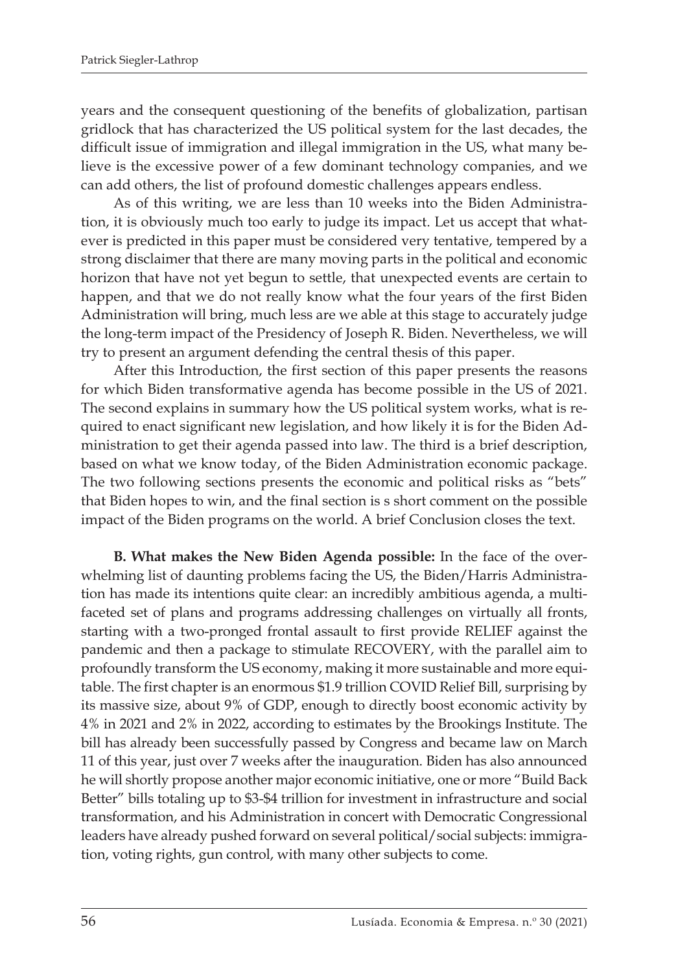years and the consequent questioning of the benefits of globalization, partisan gridlock that has characterized the US political system for the last decades, the difficult issue of immigration and illegal immigration in the US, what many believe is the excessive power of a few dominant technology companies, and we can add others, the list of profound domestic challenges appears endless.

As of this writing, we are less than 10 weeks into the Biden Administration, it is obviously much too early to judge its impact. Let us accept that whatever is predicted in this paper must be considered very tentative, tempered by a strong disclaimer that there are many moving parts in the political and economic horizon that have not yet begun to settle, that unexpected events are certain to happen, and that we do not really know what the four years of the first Biden Administration will bring, much less are we able at this stage to accurately judge the long-term impact of the Presidency of Joseph R. Biden. Nevertheless, we will try to present an argument defending the central thesis of this paper.

After this Introduction, the first section of this paper presents the reasons for which Biden transformative agenda has become possible in the US of 2021. The second explains in summary how the US political system works, what is required to enact significant new legislation, and how likely it is for the Biden Administration to get their agenda passed into law. The third is a brief description, based on what we know today, of the Biden Administration economic package. The two following sections presents the economic and political risks as "bets" that Biden hopes to win, and the final section is s short comment on the possible impact of the Biden programs on the world. A brief Conclusion closes the text.

**B. What makes the New Biden Agenda possible:** In the face of the overwhelming list of daunting problems facing the US, the Biden/Harris Administration has made its intentions quite clear: an incredibly ambitious agenda, a multifaceted set of plans and programs addressing challenges on virtually all fronts, starting with a two-pronged frontal assault to first provide RELIEF against the pandemic and then a package to stimulate RECOVERY, with the parallel aim to profoundly transform the US economy, making it more sustainable and more equitable. The first chapter is an enormous \$1.9 trillion COVID Relief Bill, surprising by its massive size, about 9% of GDP, enough to directly boost economic activity by 4% in 2021 and 2% in 2022, according to estimates by the Brookings Institute. The bill has already been successfully passed by Congress and became law on March 11 of this year, just over 7 weeks after the inauguration. Biden has also announced he will shortly propose another major economic initiative, one or more "Build Back Better" bills totaling up to \$3-\$4 trillion for investment in infrastructure and social transformation, and his Administration in concert with Democratic Congressional leaders have already pushed forward on several political/social subjects: immigration, voting rights, gun control, with many other subjects to come.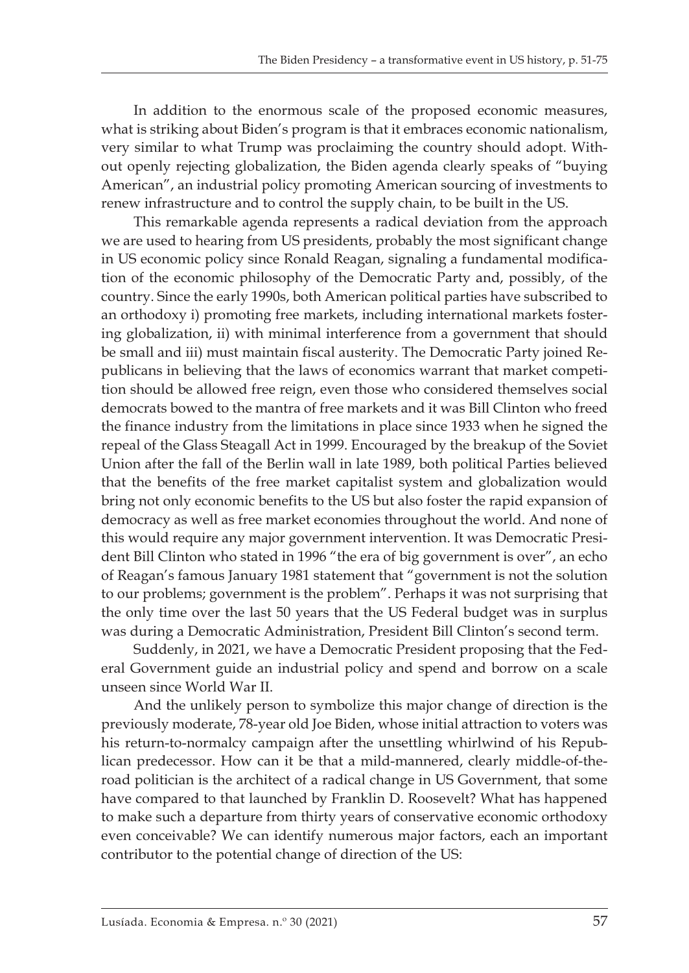In addition to the enormous scale of the proposed economic measures, what is striking about Biden's program is that it embraces economic nationalism, very similar to what Trump was proclaiming the country should adopt. Without openly rejecting globalization, the Biden agenda clearly speaks of "buying American", an industrial policy promoting American sourcing of investments to renew infrastructure and to control the supply chain, to be built in the US.

This remarkable agenda represents a radical deviation from the approach we are used to hearing from US presidents, probably the most significant change in US economic policy since Ronald Reagan, signaling a fundamental modification of the economic philosophy of the Democratic Party and, possibly, of the country. Since the early 1990s, both American political parties have subscribed to an orthodoxy i) promoting free markets, including international markets fostering globalization, ii) with minimal interference from a government that should be small and iii) must maintain fiscal austerity. The Democratic Party joined Republicans in believing that the laws of economics warrant that market competition should be allowed free reign, even those who considered themselves social democrats bowed to the mantra of free markets and it was Bill Clinton who freed the finance industry from the limitations in place since 1933 when he signed the repeal of the Glass Steagall Act in 1999. Encouraged by the breakup of the Soviet Union after the fall of the Berlin wall in late 1989, both political Parties believed that the benefits of the free market capitalist system and globalization would bring not only economic benefits to the US but also foster the rapid expansion of democracy as well as free market economies throughout the world. And none of this would require any major government intervention. It was Democratic President Bill Clinton who stated in 1996 "the era of big government is over", an echo of Reagan's famous January 1981 statement that "government is not the solution to our problems; government is the problem". Perhaps it was not surprising that the only time over the last 50 years that the US Federal budget was in surplus was during a Democratic Administration, President Bill Clinton's second term.

Suddenly, in 2021, we have a Democratic President proposing that the Federal Government guide an industrial policy and spend and borrow on a scale unseen since World War II.

And the unlikely person to symbolize this major change of direction is the previously moderate, 78-year old Joe Biden, whose initial attraction to voters was his return-to-normalcy campaign after the unsettling whirlwind of his Republican predecessor. How can it be that a mild-mannered, clearly middle-of-theroad politician is the architect of a radical change in US Government, that some have compared to that launched by Franklin D. Roosevelt? What has happened to make such a departure from thirty years of conservative economic orthodoxy even conceivable? We can identify numerous major factors, each an important contributor to the potential change of direction of the US: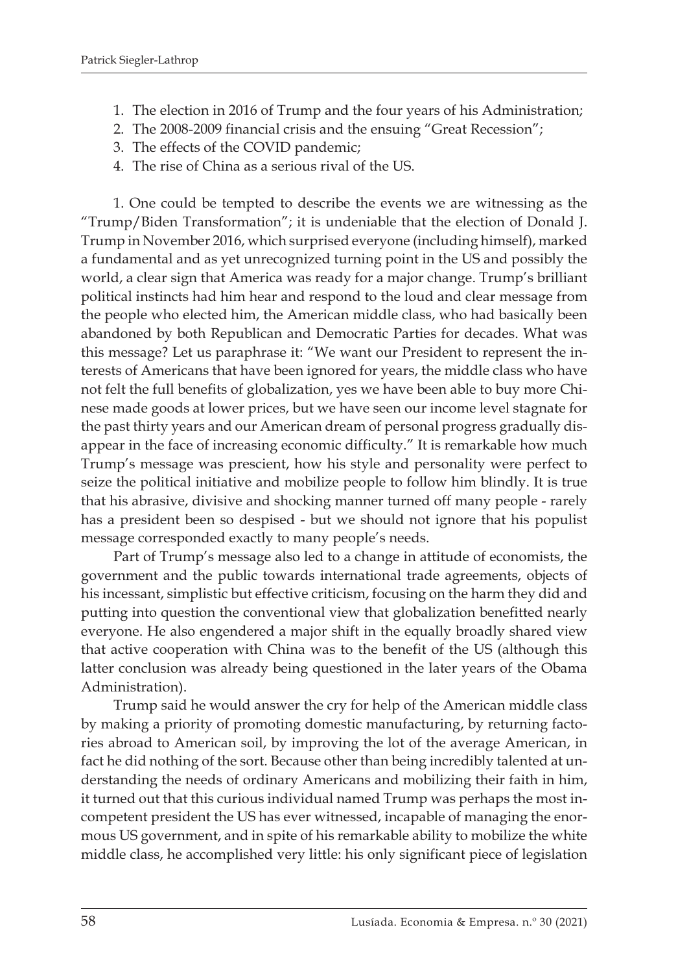- 1. The election in 2016 of Trump and the four years of his Administration;
- 2. The 2008-2009 financial crisis and the ensuing "Great Recession";
- 3. The effects of the COVID pandemic;
- 4. The rise of China as a serious rival of the US.

1. One could be tempted to describe the events we are witnessing as the "Trump/Biden Transformation"; it is undeniable that the election of Donald J. Trump in November 2016, which surprised everyone (including himself), marked a fundamental and as yet unrecognized turning point in the US and possibly the world, a clear sign that America was ready for a major change. Trump's brilliant political instincts had him hear and respond to the loud and clear message from the people who elected him, the American middle class, who had basically been abandoned by both Republican and Democratic Parties for decades. What was this message? Let us paraphrase it: "We want our President to represent the interests of Americans that have been ignored for years, the middle class who have not felt the full benefits of globalization, yes we have been able to buy more Chinese made goods at lower prices, but we have seen our income level stagnate for the past thirty years and our American dream of personal progress gradually disappear in the face of increasing economic difficulty." It is remarkable how much Trump's message was prescient, how his style and personality were perfect to seize the political initiative and mobilize people to follow him blindly. It is true that his abrasive, divisive and shocking manner turned off many people - rarely has a president been so despised - but we should not ignore that his populist message corresponded exactly to many people's needs.

Part of Trump's message also led to a change in attitude of economists, the government and the public towards international trade agreements, objects of his incessant, simplistic but effective criticism, focusing on the harm they did and putting into question the conventional view that globalization benefitted nearly everyone. He also engendered a major shift in the equally broadly shared view that active cooperation with China was to the benefit of the US (although this latter conclusion was already being questioned in the later years of the Obama Administration).

Trump said he would answer the cry for help of the American middle class by making a priority of promoting domestic manufacturing, by returning factories abroad to American soil, by improving the lot of the average American, in fact he did nothing of the sort. Because other than being incredibly talented at understanding the needs of ordinary Americans and mobilizing their faith in him, it turned out that this curious individual named Trump was perhaps the most incompetent president the US has ever witnessed, incapable of managing the enormous US government, and in spite of his remarkable ability to mobilize the white middle class, he accomplished very little: his only significant piece of legislation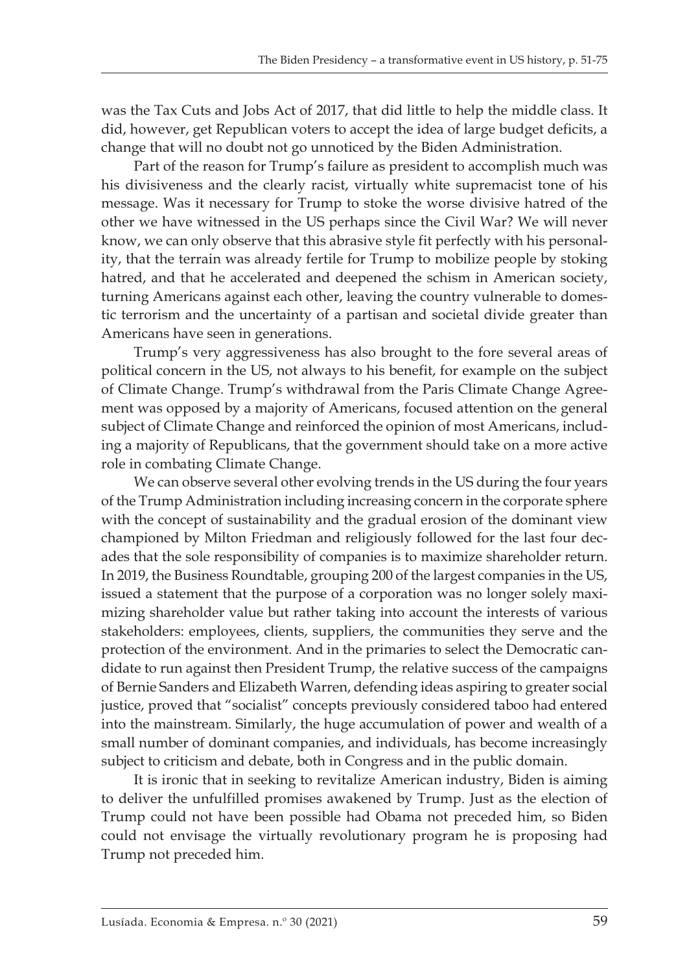was the Tax Cuts and Jobs Act of 2017, that did little to help the middle class. It did, however, get Republican voters to accept the idea of large budget deficits, a change that will no doubt not go unnoticed by the Biden Administration.

Part of the reason for Trump's failure as president to accomplish much was his divisiveness and the clearly racist, virtually white supremacist tone of his message. Was it necessary for Trump to stoke the worse divisive hatred of the other we have witnessed in the US perhaps since the Civil War? We will never know, we can only observe that this abrasive style fit perfectly with his personality, that the terrain was already fertile for Trump to mobilize people by stoking hatred, and that he accelerated and deepened the schism in American society, turning Americans against each other, leaving the country vulnerable to domestic terrorism and the uncertainty of a partisan and societal divide greater than Americans have seen in generations.

Trump's very aggressiveness has also brought to the fore several areas of political concern in the US, not always to his benefit, for example on the subject of Climate Change. Trump's withdrawal from the Paris Climate Change Agreement was opposed by a majority of Americans, focused attention on the general subject of Climate Change and reinforced the opinion of most Americans, including a majority of Republicans, that the government should take on a more active role in combating Climate Change.

We can observe several other evolving trends in the US during the four years of the Trump Administration including increasing concern in the corporate sphere with the concept of sustainability and the gradual erosion of the dominant view championed by Milton Friedman and religiously followed for the last four decades that the sole responsibility of companies is to maximize shareholder return. In 2019, the Business Roundtable, grouping 200 of the largest companies in the US, issued a statement that the purpose of a corporation was no longer solely maximizing shareholder value but rather taking into account the interests of various stakeholders: employees, clients, suppliers, the communities they serve and the protection of the environment. And in the primaries to select the Democratic candidate to run against then President Trump, the relative success of the campaigns of Bernie Sanders and Elizabeth Warren, defending ideas aspiring to greater social justice, proved that "socialist" concepts previously considered taboo had entered into the mainstream. Similarly, the huge accumulation of power and wealth of a small number of dominant companies, and individuals, has become increasingly subject to criticism and debate, both in Congress and in the public domain.

It is ironic that in seeking to revitalize American industry, Biden is aiming to deliver the unfulfilled promises awakened by Trump. Just as the election of Trump could not have been possible had Obama not preceded him, so Biden could not envisage the virtually revolutionary program he is proposing had Trump not preceded him.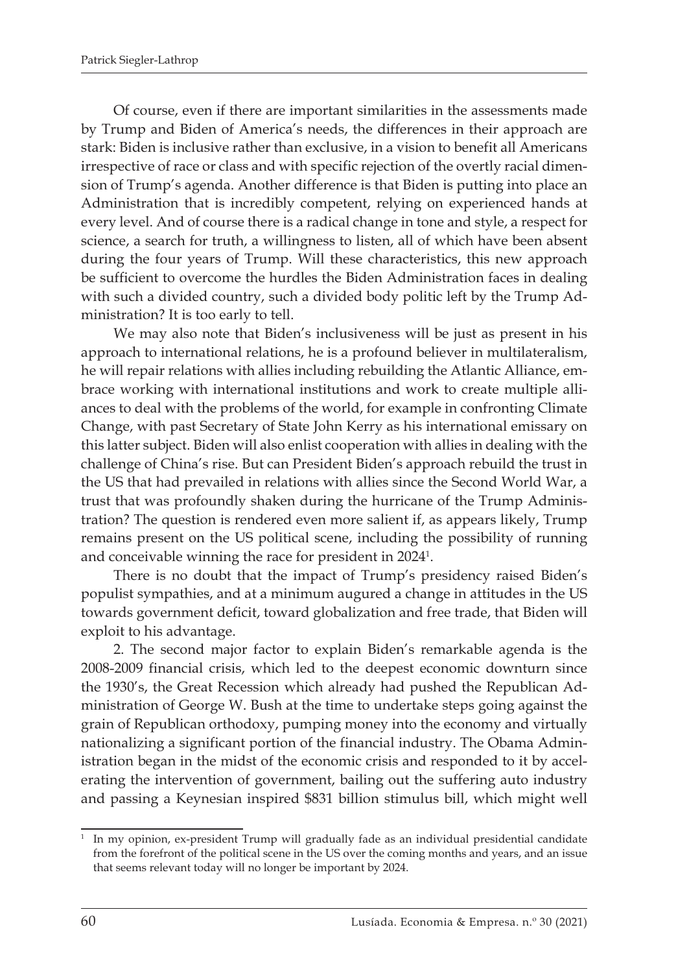Of course, even if there are important similarities in the assessments made by Trump and Biden of America's needs, the differences in their approach are stark: Biden is inclusive rather than exclusive, in a vision to benefit all Americans irrespective of race or class and with specific rejection of the overtly racial dimension of Trump's agenda. Another difference is that Biden is putting into place an Administration that is incredibly competent, relying on experienced hands at every level. And of course there is a radical change in tone and style, a respect for science, a search for truth, a willingness to listen, all of which have been absent during the four years of Trump. Will these characteristics, this new approach be sufficient to overcome the hurdles the Biden Administration faces in dealing with such a divided country, such a divided body politic left by the Trump Administration? It is too early to tell.

We may also note that Biden's inclusiveness will be just as present in his approach to international relations, he is a profound believer in multilateralism, he will repair relations with allies including rebuilding the Atlantic Alliance, embrace working with international institutions and work to create multiple alliances to deal with the problems of the world, for example in confronting Climate Change, with past Secretary of State John Kerry as his international emissary on this latter subject. Biden will also enlist cooperation with allies in dealing with the challenge of China's rise. But can President Biden's approach rebuild the trust in the US that had prevailed in relations with allies since the Second World War, a trust that was profoundly shaken during the hurricane of the Trump Administration? The question is rendered even more salient if, as appears likely, Trump remains present on the US political scene, including the possibility of running and conceivable winning the race for president in 2024 $^{\rm 1}.$ 

There is no doubt that the impact of Trump's presidency raised Biden's populist sympathies, and at a minimum augured a change in attitudes in the US towards government deficit, toward globalization and free trade, that Biden will exploit to his advantage.

2. The second major factor to explain Biden's remarkable agenda is the 2008-2009 financial crisis, which led to the deepest economic downturn since the 1930's, the Great Recession which already had pushed the Republican Administration of George W. Bush at the time to undertake steps going against the grain of Republican orthodoxy, pumping money into the economy and virtually nationalizing a significant portion of the financial industry. The Obama Administration began in the midst of the economic crisis and responded to it by accelerating the intervention of government, bailing out the suffering auto industry and passing a Keynesian inspired \$831 billion stimulus bill, which might well

<sup>&</sup>lt;sup>1</sup> In my opinion, ex-president Trump will gradually fade as an individual presidential candidate from the forefront of the political scene in the US over the coming months and years, and an issue that seems relevant today will no longer be important by 2024.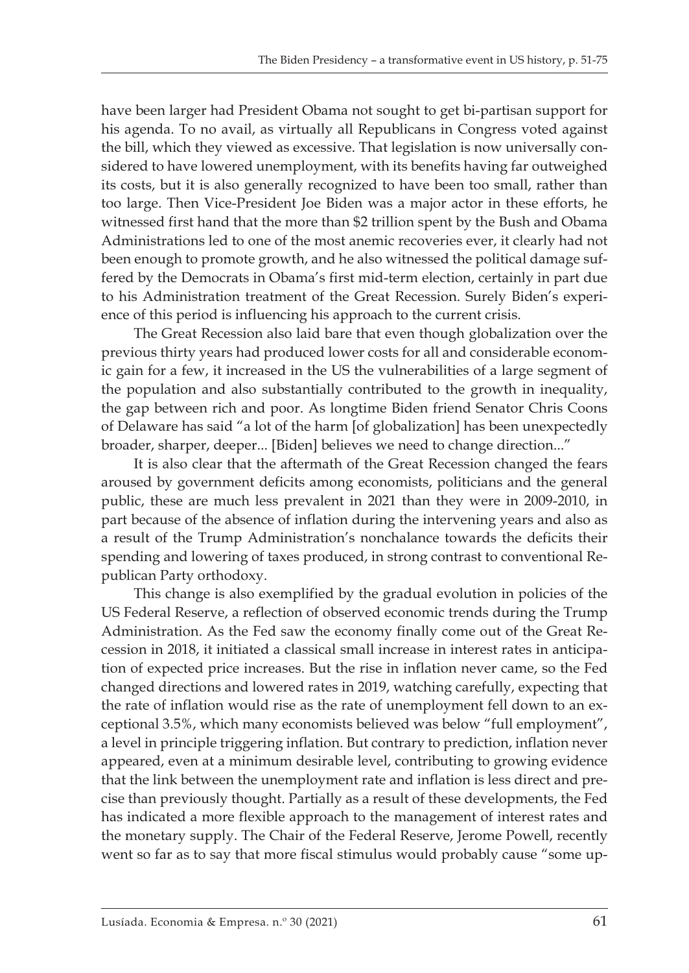have been larger had President Obama not sought to get bi-partisan support for his agenda. To no avail, as virtually all Republicans in Congress voted against the bill, which they viewed as excessive. That legislation is now universally considered to have lowered unemployment, with its benefits having far outweighed its costs, but it is also generally recognized to have been too small, rather than too large. Then Vice-President Joe Biden was a major actor in these efforts, he witnessed first hand that the more than \$2 trillion spent by the Bush and Obama Administrations led to one of the most anemic recoveries ever, it clearly had not been enough to promote growth, and he also witnessed the political damage suffered by the Democrats in Obama's first mid-term election, certainly in part due to his Administration treatment of the Great Recession. Surely Biden's experience of this period is influencing his approach to the current crisis.

The Great Recession also laid bare that even though globalization over the previous thirty years had produced lower costs for all and considerable economic gain for a few, it increased in the US the vulnerabilities of a large segment of the population and also substantially contributed to the growth in inequality, the gap between rich and poor. As longtime Biden friend Senator Chris Coons of Delaware has said "a lot of the harm [of globalization] has been unexpectedly broader, sharper, deeper... [Biden] believes we need to change direction..."

It is also clear that the aftermath of the Great Recession changed the fears aroused by government deficits among economists, politicians and the general public, these are much less prevalent in 2021 than they were in 2009-2010, in part because of the absence of inflation during the intervening years and also as a result of the Trump Administration's nonchalance towards the deficits their spending and lowering of taxes produced, in strong contrast to conventional Republican Party orthodoxy.

This change is also exemplified by the gradual evolution in policies of the US Federal Reserve, a reflection of observed economic trends during the Trump Administration. As the Fed saw the economy finally come out of the Great Recession in 2018, it initiated a classical small increase in interest rates in anticipation of expected price increases. But the rise in inflation never came, so the Fed changed directions and lowered rates in 2019, watching carefully, expecting that the rate of inflation would rise as the rate of unemployment fell down to an exceptional 3.5%, which many economists believed was below "full employment", a level in principle triggering inflation. But contrary to prediction, inflation never appeared, even at a minimum desirable level, contributing to growing evidence that the link between the unemployment rate and inflation is less direct and precise than previously thought. Partially as a result of these developments, the Fed has indicated a more flexible approach to the management of interest rates and the monetary supply. The Chair of the Federal Reserve, Jerome Powell, recently went so far as to say that more fiscal stimulus would probably cause "some up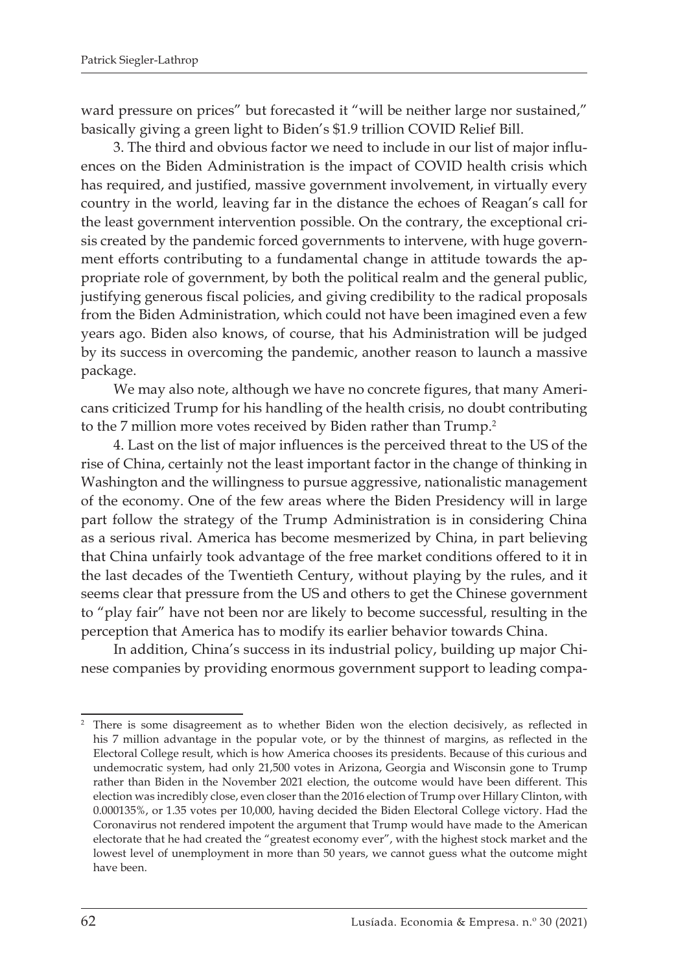ward pressure on prices" but forecasted it "will be neither large nor sustained," basically giving a green light to Biden's \$1.9 trillion COVID Relief Bill.

3. The third and obvious factor we need to include in our list of major influences on the Biden Administration is the impact of COVID health crisis which has required, and justified, massive government involvement, in virtually every country in the world, leaving far in the distance the echoes of Reagan's call for the least government intervention possible. On the contrary, the exceptional crisis created by the pandemic forced governments to intervene, with huge government efforts contributing to a fundamental change in attitude towards the appropriate role of government, by both the political realm and the general public, justifying generous fiscal policies, and giving credibility to the radical proposals from the Biden Administration, which could not have been imagined even a few years ago. Biden also knows, of course, that his Administration will be judged by its success in overcoming the pandemic, another reason to launch a massive package.

We may also note, although we have no concrete figures, that many Americans criticized Trump for his handling of the health crisis, no doubt contributing to the 7 million more votes received by Biden rather than Trump.<sup>2</sup>

4. Last on the list of major influences is the perceived threat to the US of the rise of China, certainly not the least important factor in the change of thinking in Washington and the willingness to pursue aggressive, nationalistic management of the economy. One of the few areas where the Biden Presidency will in large part follow the strategy of the Trump Administration is in considering China as a serious rival. America has become mesmerized by China, in part believing that China unfairly took advantage of the free market conditions offered to it in the last decades of the Twentieth Century, without playing by the rules, and it seems clear that pressure from the US and others to get the Chinese government to "play fair" have not been nor are likely to become successful, resulting in the perception that America has to modify its earlier behavior towards China.

In addition, China's success in its industrial policy, building up major Chinese companies by providing enormous government support to leading compa-

There is some disagreement as to whether Biden won the election decisively, as reflected in his 7 million advantage in the popular vote, or by the thinnest of margins, as reflected in the Electoral College result, which is how America chooses its presidents. Because of this curious and undemocratic system, had only 21,500 votes in Arizona, Georgia and Wisconsin gone to Trump rather than Biden in the November 2021 election, the outcome would have been different. This election was incredibly close, even closer than the 2016 election of Trump over Hillary Clinton, with 0.000135%, or 1.35 votes per 10,000, having decided the Biden Electoral College victory. Had the Coronavirus not rendered impotent the argument that Trump would have made to the American electorate that he had created the "greatest economy ever", with the highest stock market and the lowest level of unemployment in more than 50 years, we cannot guess what the outcome might have been.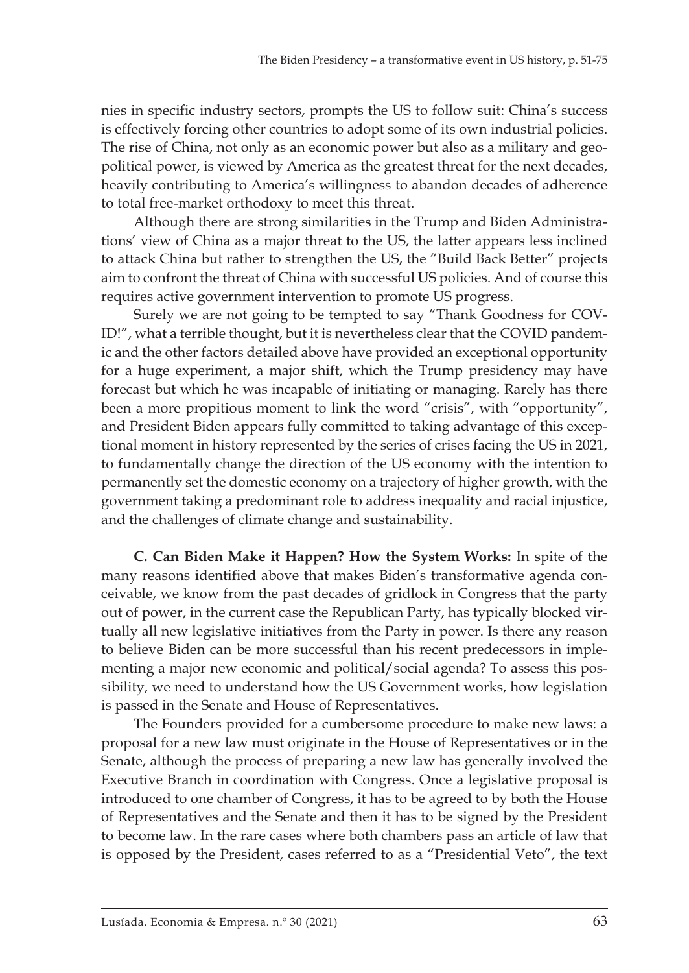nies in specific industry sectors, prompts the US to follow suit: China's success is effectively forcing other countries to adopt some of its own industrial policies. The rise of China, not only as an economic power but also as a military and geopolitical power, is viewed by America as the greatest threat for the next decades, heavily contributing to America's willingness to abandon decades of adherence to total free-market orthodoxy to meet this threat.

Although there are strong similarities in the Trump and Biden Administrations' view of China as a major threat to the US, the latter appears less inclined to attack China but rather to strengthen the US, the "Build Back Better" projects aim to confront the threat of China with successful US policies. And of course this requires active government intervention to promote US progress.

Surely we are not going to be tempted to say "Thank Goodness for COV-ID!", what a terrible thought, but it is nevertheless clear that the COVID pandemic and the other factors detailed above have provided an exceptional opportunity for a huge experiment, a major shift, which the Trump presidency may have forecast but which he was incapable of initiating or managing. Rarely has there been a more propitious moment to link the word "crisis", with "opportunity", and President Biden appears fully committed to taking advantage of this exceptional moment in history represented by the series of crises facing the US in 2021, to fundamentally change the direction of the US economy with the intention to permanently set the domestic economy on a trajectory of higher growth, with the government taking a predominant role to address inequality and racial injustice, and the challenges of climate change and sustainability.

**C. Can Biden Make it Happen? How the System Works:** In spite of the many reasons identified above that makes Biden's transformative agenda conceivable, we know from the past decades of gridlock in Congress that the party out of power, in the current case the Republican Party, has typically blocked virtually all new legislative initiatives from the Party in power. Is there any reason to believe Biden can be more successful than his recent predecessors in implementing a major new economic and political/social agenda? To assess this possibility, we need to understand how the US Government works, how legislation is passed in the Senate and House of Representatives.

The Founders provided for a cumbersome procedure to make new laws: a proposal for a new law must originate in the House of Representatives or in the Senate, although the process of preparing a new law has generally involved the Executive Branch in coordination with Congress. Once a legislative proposal is introduced to one chamber of Congress, it has to be agreed to by both the House of Representatives and the Senate and then it has to be signed by the President to become law. In the rare cases where both chambers pass an article of law that is opposed by the President, cases referred to as a "Presidential Veto", the text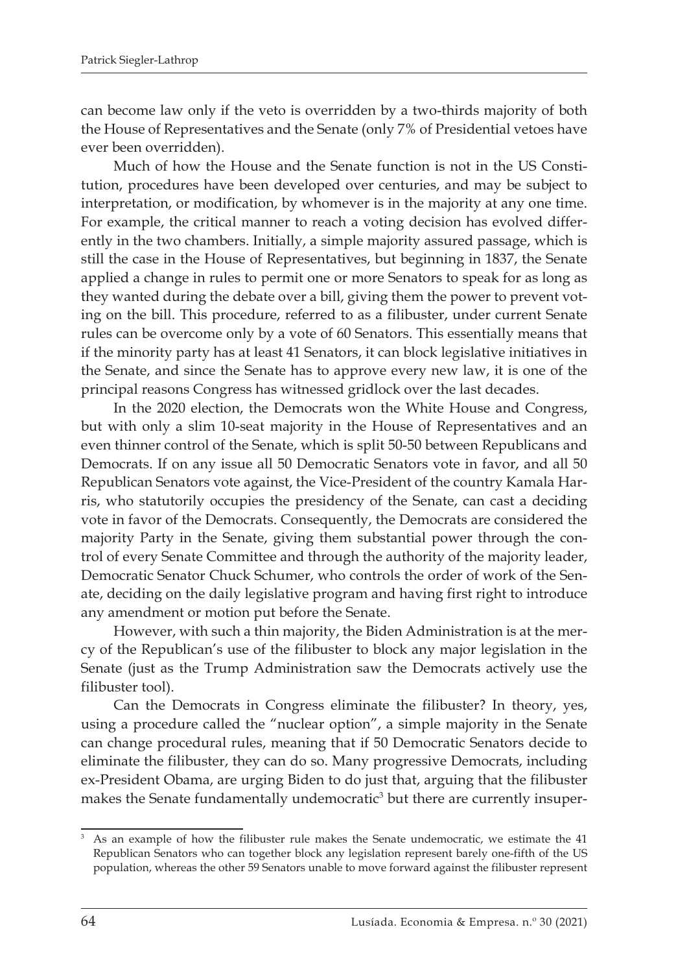can become law only if the veto is overridden by a two-thirds majority of both the House of Representatives and the Senate (only 7% of Presidential vetoes have ever been overridden).

Much of how the House and the Senate function is not in the US Constitution, procedures have been developed over centuries, and may be subject to interpretation, or modification, by whomever is in the majority at any one time. For example, the critical manner to reach a voting decision has evolved differently in the two chambers. Initially, a simple majority assured passage, which is still the case in the House of Representatives, but beginning in 1837, the Senate applied a change in rules to permit one or more Senators to speak for as long as they wanted during the debate over a bill, giving them the power to prevent voting on the bill. This procedure, referred to as a filibuster, under current Senate rules can be overcome only by a vote of 60 Senators. This essentially means that if the minority party has at least 41 Senators, it can block legislative initiatives in the Senate, and since the Senate has to approve every new law, it is one of the principal reasons Congress has witnessed gridlock over the last decades.

In the 2020 election, the Democrats won the White House and Congress, but with only a slim 10-seat majority in the House of Representatives and an even thinner control of the Senate, which is split 50-50 between Republicans and Democrats. If on any issue all 50 Democratic Senators vote in favor, and all 50 Republican Senators vote against, the Vice-President of the country Kamala Harris, who statutorily occupies the presidency of the Senate, can cast a deciding vote in favor of the Democrats. Consequently, the Democrats are considered the majority Party in the Senate, giving them substantial power through the control of every Senate Committee and through the authority of the majority leader, Democratic Senator Chuck Schumer, who controls the order of work of the Senate, deciding on the daily legislative program and having first right to introduce any amendment or motion put before the Senate.

However, with such a thin majority, the Biden Administration is at the mercy of the Republican's use of the filibuster to block any major legislation in the Senate (just as the Trump Administration saw the Democrats actively use the filibuster tool).

Can the Democrats in Congress eliminate the filibuster? In theory, yes, using a procedure called the "nuclear option", a simple majority in the Senate can change procedural rules, meaning that if 50 Democratic Senators decide to eliminate the filibuster, they can do so. Many progressive Democrats, including ex-President Obama, are urging Biden to do just that, arguing that the filibuster makes the Senate fundamentally undemocratic<sup>3</sup> but there are currently insuper-

<sup>3</sup> As an example of how the filibuster rule makes the Senate undemocratic, we estimate the 41 Republican Senators who can together block any legislation represent barely one-fifth of the US population, whereas the other 59 Senators unable to move forward against the filibuster represent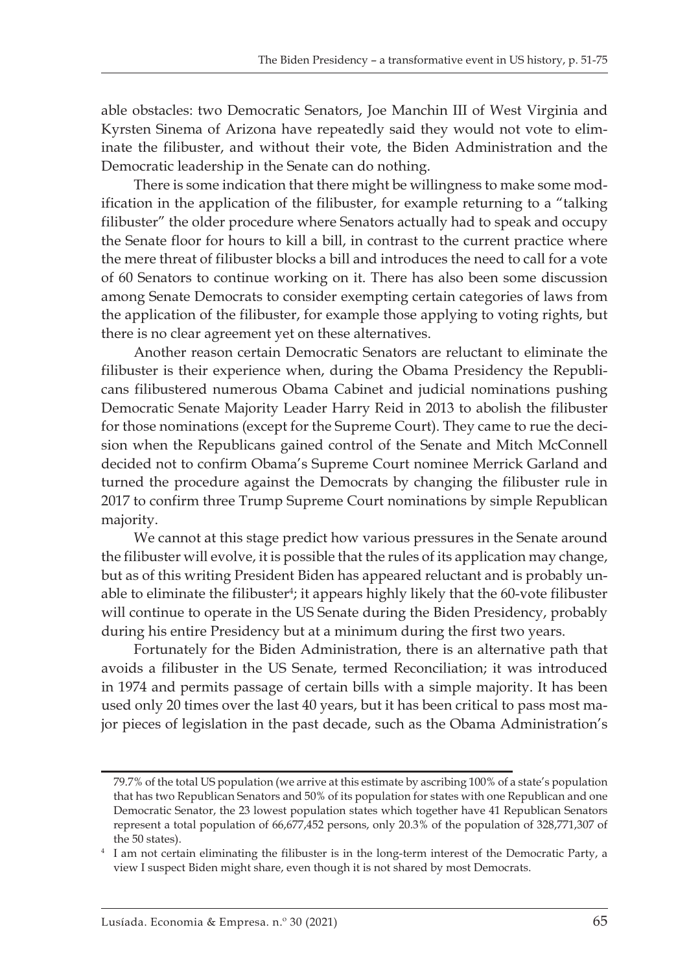able obstacles: two Democratic Senators, Joe Manchin III of West Virginia and Kyrsten Sinema of Arizona have repeatedly said they would not vote to eliminate the filibuster, and without their vote, the Biden Administration and the Democratic leadership in the Senate can do nothing.

There is some indication that there might be willingness to make some modification in the application of the filibuster, for example returning to a "talking filibuster" the older procedure where Senators actually had to speak and occupy the Senate floor for hours to kill a bill, in contrast to the current practice where the mere threat of filibuster blocks a bill and introduces the need to call for a vote of 60 Senators to continue working on it. There has also been some discussion among Senate Democrats to consider exempting certain categories of laws from the application of the filibuster, for example those applying to voting rights, but there is no clear agreement yet on these alternatives.

Another reason certain Democratic Senators are reluctant to eliminate the filibuster is their experience when, during the Obama Presidency the Republicans filibustered numerous Obama Cabinet and judicial nominations pushing Democratic Senate Majority Leader Harry Reid in 2013 to abolish the filibuster for those nominations (except for the Supreme Court). They came to rue the decision when the Republicans gained control of the Senate and Mitch McConnell decided not to confirm Obama's Supreme Court nominee Merrick Garland and turned the procedure against the Democrats by changing the filibuster rule in 2017 to confirm three Trump Supreme Court nominations by simple Republican majority.

We cannot at this stage predict how various pressures in the Senate around the filibuster will evolve, it is possible that the rules of its application may change, but as of this writing President Biden has appeared reluctant and is probably unable to eliminate the filibuster<sup>4</sup>; it appears highly likely that the 60-vote filibuster will continue to operate in the US Senate during the Biden Presidency, probably during his entire Presidency but at a minimum during the first two years.

Fortunately for the Biden Administration, there is an alternative path that avoids a filibuster in the US Senate, termed Reconciliation; it was introduced in 1974 and permits passage of certain bills with a simple majority. It has been used only 20 times over the last 40 years, but it has been critical to pass most major pieces of legislation in the past decade, such as the Obama Administration's

<sup>79.7%</sup> of the total US population (we arrive at this estimate by ascribing 100% of a state's population that has two Republican Senators and 50% of its population for states with one Republican and one Democratic Senator, the 23 lowest population states which together have 41 Republican Senators represent a total population of 66,677,452 persons, only 20.3% of the population of 328,771,307 of the 50 states).

<sup>&</sup>lt;sup>4</sup> I am not certain eliminating the filibuster is in the long-term interest of the Democratic Party, a view I suspect Biden might share, even though it is not shared by most Democrats.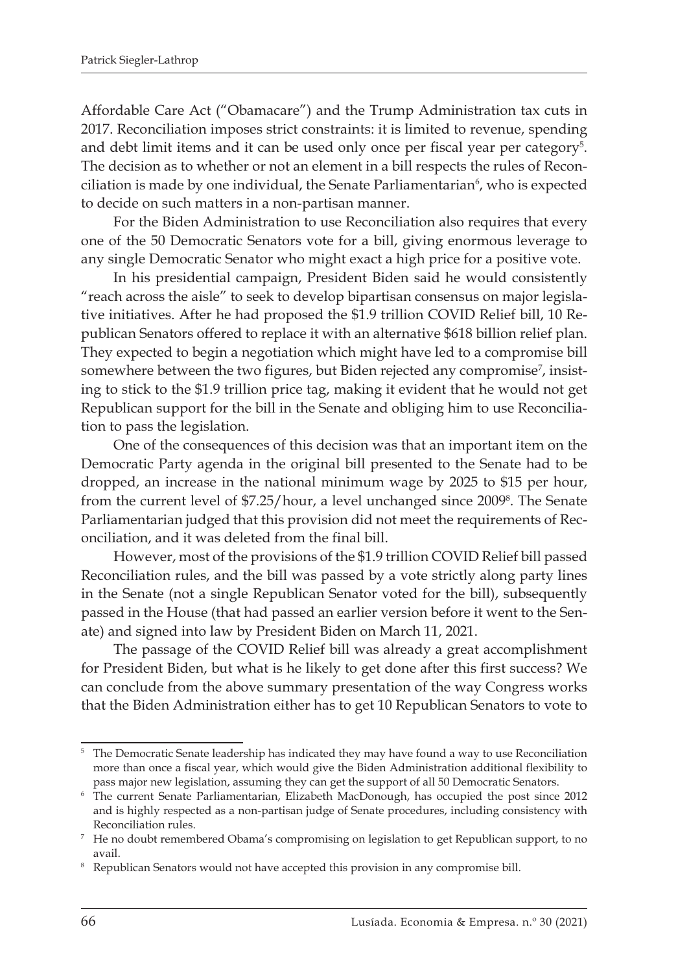Affordable Care Act ("Obamacare") and the Trump Administration tax cuts in 2017. Reconciliation imposes strict constraints: it is limited to revenue, spending and debt limit items and it can be used only once per fiscal year per category<sup>5</sup>. The decision as to whether or not an element in a bill respects the rules of Reconciliation is made by one individual, the Senate Parliamentarian<sup>6</sup>, who is expected to decide on such matters in a non-partisan manner.

For the Biden Administration to use Reconciliation also requires that every one of the 50 Democratic Senators vote for a bill, giving enormous leverage to any single Democratic Senator who might exact a high price for a positive vote.

In his presidential campaign, President Biden said he would consistently "reach across the aisle" to seek to develop bipartisan consensus on major legislative initiatives. After he had proposed the \$1.9 trillion COVID Relief bill, 10 Republican Senators offered to replace it with an alternative \$618 billion relief plan. They expected to begin a negotiation which might have led to a compromise bill somewhere between the two figures, but Biden rejected any compromise<sup>7</sup>, insisting to stick to the \$1.9 trillion price tag, making it evident that he would not get Republican support for the bill in the Senate and obliging him to use Reconciliation to pass the legislation.

One of the consequences of this decision was that an important item on the Democratic Party agenda in the original bill presented to the Senate had to be dropped, an increase in the national minimum wage by 2025 to \$15 per hour, from the current level of \$7.25/hour, a level unchanged since 2009<sup>8</sup>. The Senate Parliamentarian judged that this provision did not meet the requirements of Reconciliation, and it was deleted from the final bill.

However, most of the provisions of the \$1.9 trillion COVID Relief bill passed Reconciliation rules, and the bill was passed by a vote strictly along party lines in the Senate (not a single Republican Senator voted for the bill), subsequently passed in the House (that had passed an earlier version before it went to the Senate) and signed into law by President Biden on March 11, 2021.

The passage of the COVID Relief bill was already a great accomplishment for President Biden, but what is he likely to get done after this first success? We can conclude from the above summary presentation of the way Congress works that the Biden Administration either has to get 10 Republican Senators to vote to

<sup>5</sup> The Democratic Senate leadership has indicated they may have found a way to use Reconciliation more than once a fiscal year, which would give the Biden Administration additional flexibility to pass major new legislation, assuming they can get the support of all 50 Democratic Senators.

<sup>6</sup> The current Senate Parliamentarian, Elizabeth MacDonough, has occupied the post since 2012 and is highly respected as a non-partisan judge of Senate procedures, including consistency with Reconciliation rules.

<sup>7</sup> He no doubt remembered Obama's compromising on legislation to get Republican support, to no avail.

<sup>&</sup>lt;sup>8</sup> Republican Senators would not have accepted this provision in any compromise bill.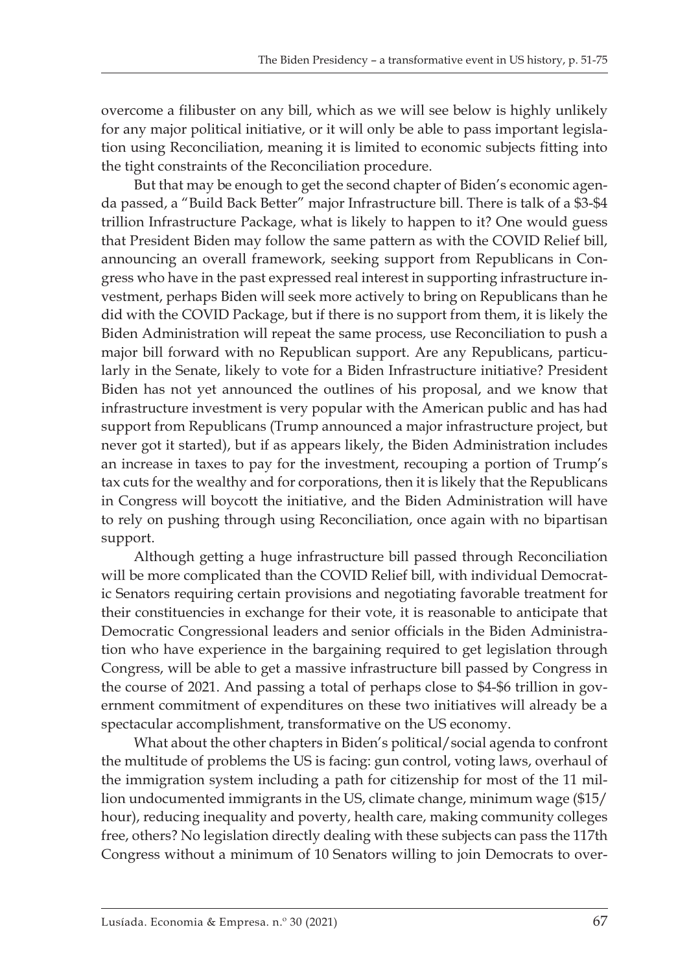overcome a filibuster on any bill, which as we will see below is highly unlikely for any major political initiative, or it will only be able to pass important legislation using Reconciliation, meaning it is limited to economic subjects fitting into the tight constraints of the Reconciliation procedure.

But that may be enough to get the second chapter of Biden's economic agenda passed, a "Build Back Better" major Infrastructure bill. There is talk of a \$3-\$4 trillion Infrastructure Package, what is likely to happen to it? One would guess that President Biden may follow the same pattern as with the COVID Relief bill, announcing an overall framework, seeking support from Republicans in Congress who have in the past expressed real interest in supporting infrastructure investment, perhaps Biden will seek more actively to bring on Republicans than he did with the COVID Package, but if there is no support from them, it is likely the Biden Administration will repeat the same process, use Reconciliation to push a major bill forward with no Republican support. Are any Republicans, particularly in the Senate, likely to vote for a Biden Infrastructure initiative? President Biden has not yet announced the outlines of his proposal, and we know that infrastructure investment is very popular with the American public and has had support from Republicans (Trump announced a major infrastructure project, but never got it started), but if as appears likely, the Biden Administration includes an increase in taxes to pay for the investment, recouping a portion of Trump's tax cuts for the wealthy and for corporations, then it is likely that the Republicans in Congress will boycott the initiative, and the Biden Administration will have to rely on pushing through using Reconciliation, once again with no bipartisan support.

Although getting a huge infrastructure bill passed through Reconciliation will be more complicated than the COVID Relief bill, with individual Democratic Senators requiring certain provisions and negotiating favorable treatment for their constituencies in exchange for their vote, it is reasonable to anticipate that Democratic Congressional leaders and senior officials in the Biden Administration who have experience in the bargaining required to get legislation through Congress, will be able to get a massive infrastructure bill passed by Congress in the course of 2021. And passing a total of perhaps close to \$4-\$6 trillion in government commitment of expenditures on these two initiatives will already be a spectacular accomplishment, transformative on the US economy.

What about the other chapters in Biden's political/social agenda to confront the multitude of problems the US is facing: gun control, voting laws, overhaul of the immigration system including a path for citizenship for most of the 11 million undocumented immigrants in the US, climate change, minimum wage (\$15/ hour), reducing inequality and poverty, health care, making community colleges free, others? No legislation directly dealing with these subjects can pass the 117th Congress without a minimum of 10 Senators willing to join Democrats to over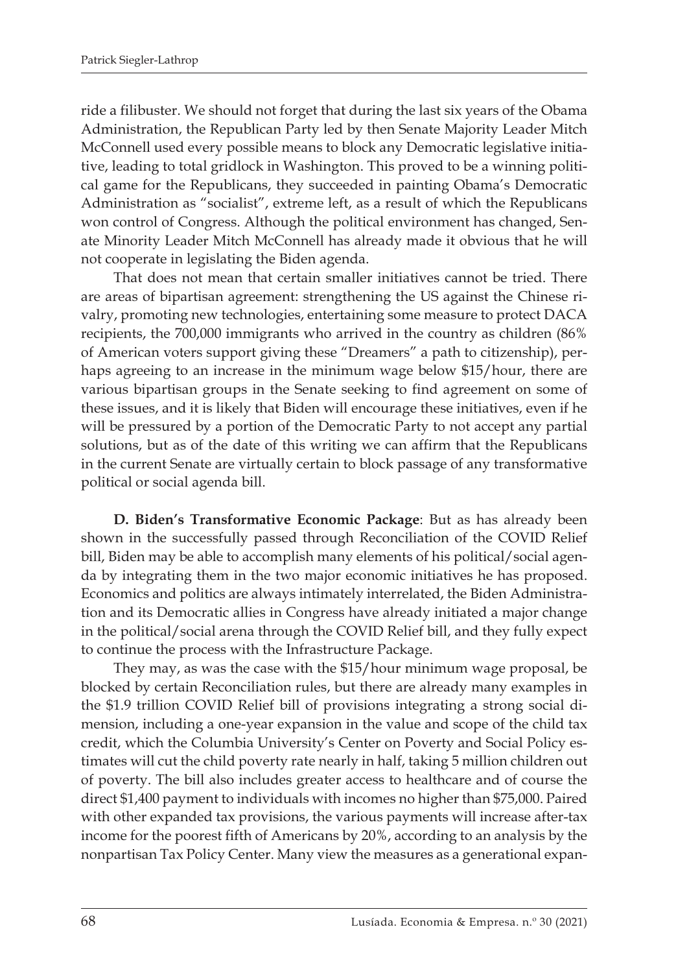ride a filibuster. We should not forget that during the last six years of the Obama Administration, the Republican Party led by then Senate Majority Leader Mitch McConnell used every possible means to block any Democratic legislative initiative, leading to total gridlock in Washington. This proved to be a winning political game for the Republicans, they succeeded in painting Obama's Democratic Administration as "socialist", extreme left, as a result of which the Republicans won control of Congress. Although the political environment has changed, Senate Minority Leader Mitch McConnell has already made it obvious that he will not cooperate in legislating the Biden agenda.

That does not mean that certain smaller initiatives cannot be tried. There are areas of bipartisan agreement: strengthening the US against the Chinese rivalry, promoting new technologies, entertaining some measure to protect DACA recipients, the 700,000 immigrants who arrived in the country as children (86% of American voters support giving these "Dreamers" a path to citizenship), perhaps agreeing to an increase in the minimum wage below \$15/hour, there are various bipartisan groups in the Senate seeking to find agreement on some of these issues, and it is likely that Biden will encourage these initiatives, even if he will be pressured by a portion of the Democratic Party to not accept any partial solutions, but as of the date of this writing we can affirm that the Republicans in the current Senate are virtually certain to block passage of any transformative political or social agenda bill.

**D. Biden's Transformative Economic Package**: But as has already been shown in the successfully passed through Reconciliation of the COVID Relief bill, Biden may be able to accomplish many elements of his political/social agenda by integrating them in the two major economic initiatives he has proposed. Economics and politics are always intimately interrelated, the Biden Administration and its Democratic allies in Congress have already initiated a major change in the political/social arena through the COVID Relief bill, and they fully expect to continue the process with the Infrastructure Package.

They may, as was the case with the \$15/hour minimum wage proposal, be blocked by certain Reconciliation rules, but there are already many examples in the \$1.9 trillion COVID Relief bill of provisions integrating a strong social dimension, including a one-year expansion in the value and scope of the child tax credit, which the Columbia University's Center on Poverty and Social Policy estimates will cut the child poverty rate nearly in half, taking 5 million children out of poverty. The bill also includes greater access to healthcare and of course the direct \$1,400 payment to individuals with incomes no higher than \$75,000. Paired with other expanded tax provisions, the various payments will increase after-tax income for the poorest fifth of Americans by 20%, according to an analysis by the nonpartisan Tax Policy Center. Many view the measures as a generational expan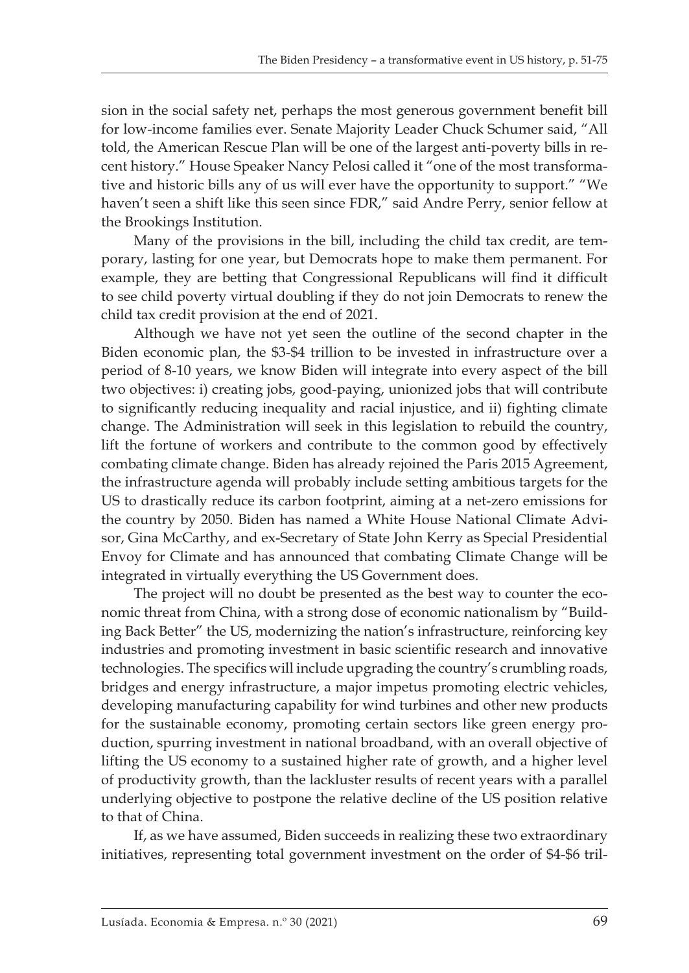sion in the social safety net, perhaps the most generous government benefit bill for low-income families ever. Senate Majority Leader Chuck Schumer said, "All told, the American Rescue Plan will be one of the largest anti-poverty bills in recent history." House Speaker Nancy Pelosi called it "one of the most transformative and historic bills any of us will ever have the opportunity to support." "We haven't seen a shift like this seen since FDR," said Andre Perry, senior fellow at the Brookings Institution.

Many of the provisions in the bill, including the child tax credit, are temporary, lasting for one year, but Democrats hope to make them permanent. For example, they are betting that Congressional Republicans will find it difficult to see child poverty virtual doubling if they do not join Democrats to renew the child tax credit provision at the end of 2021.

Although we have not yet seen the outline of the second chapter in the Biden economic plan, the \$3-\$4 trillion to be invested in infrastructure over a period of 8-10 years, we know Biden will integrate into every aspect of the bill two objectives: i) creating jobs, good-paying, unionized jobs that will contribute to significantly reducing inequality and racial injustice, and ii) fighting climate change. The Administration will seek in this legislation to rebuild the country, lift the fortune of workers and contribute to the common good by effectively combating climate change. Biden has already rejoined the Paris 2015 Agreement, the infrastructure agenda will probably include setting ambitious targets for the US to drastically reduce its carbon footprint, aiming at a net-zero emissions for the country by 2050. Biden has named a White House National Climate Advisor, Gina McCarthy, and ex-Secretary of State John Kerry as Special Presidential Envoy for Climate and has announced that combating Climate Change will be integrated in virtually everything the US Government does.

The project will no doubt be presented as the best way to counter the economic threat from China, with a strong dose of economic nationalism by "Building Back Better" the US, modernizing the nation's infrastructure, reinforcing key industries and promoting investment in basic scientific research and innovative technologies. The specifics will include upgrading the country's crumbling roads, bridges and energy infrastructure, a major impetus promoting electric vehicles, developing manufacturing capability for wind turbines and other new products for the sustainable economy, promoting certain sectors like green energy production, spurring investment in national broadband, with an overall objective of lifting the US economy to a sustained higher rate of growth, and a higher level of productivity growth, than the lackluster results of recent years with a parallel underlying objective to postpone the relative decline of the US position relative to that of China.

If, as we have assumed, Biden succeeds in realizing these two extraordinary initiatives, representing total government investment on the order of \$4-\$6 tril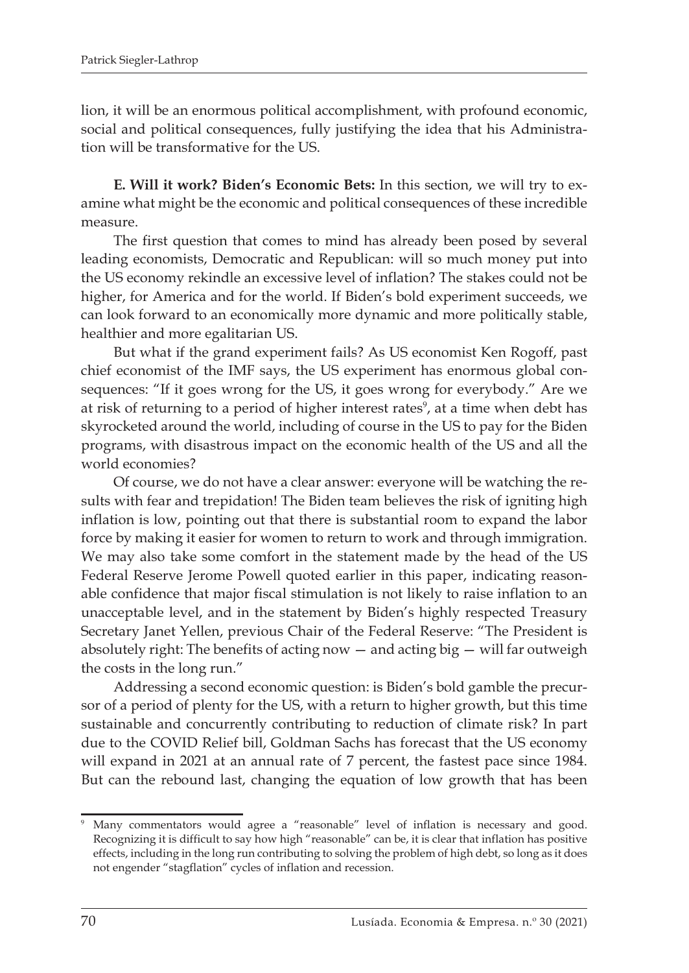lion, it will be an enormous political accomplishment, with profound economic, social and political consequences, fully justifying the idea that his Administration will be transformative for the US.

**E. Will it work? Biden's Economic Bets:** In this section, we will try to examine what might be the economic and political consequences of these incredible measure.

The first question that comes to mind has already been posed by several leading economists, Democratic and Republican: will so much money put into the US economy rekindle an excessive level of inflation? The stakes could not be higher, for America and for the world. If Biden's bold experiment succeeds, we can look forward to an economically more dynamic and more politically stable, healthier and more egalitarian US.

But what if the grand experiment fails? As US economist Ken Rogoff, past chief economist of the IMF says, the US experiment has enormous global consequences: "If it goes wrong for the US, it goes wrong for everybody." Are we at risk of returning to a period of higher interest rates<sup>9</sup>, at a time when debt has skyrocketed around the world, including of course in the US to pay for the Biden programs, with disastrous impact on the economic health of the US and all the world economies?

Of course, we do not have a clear answer: everyone will be watching the results with fear and trepidation! The Biden team believes the risk of igniting high inflation is low, pointing out that there is substantial room to expand the labor force by making it easier for women to return to work and through immigration. We may also take some comfort in the statement made by the head of the US Federal Reserve Jerome Powell quoted earlier in this paper, indicating reasonable confidence that major fiscal stimulation is not likely to raise inflation to an unacceptable level, and in the statement by Biden's highly respected Treasury Secretary Janet Yellen, previous Chair of the Federal Reserve: "The President is absolutely right: The benefits of acting now  $-$  and acting big  $-$  will far outweigh the costs in the long run."

Addressing a second economic question: is Biden's bold gamble the precursor of a period of plenty for the US, with a return to higher growth, but this time sustainable and concurrently contributing to reduction of climate risk? In part due to the COVID Relief bill, Goldman Sachs has forecast that the US economy will expand in 2021 at an annual rate of 7 percent, the fastest pace since 1984. But can the rebound last, changing the equation of low growth that has been

<sup>9</sup> Many commentators would agree a "reasonable" level of inflation is necessary and good. Recognizing it is difficult to say how high "reasonable" can be, it is clear that inflation has positive effects, including in the long run contributing to solving the problem of high debt, so long as it does not engender "stagflation" cycles of inflation and recession.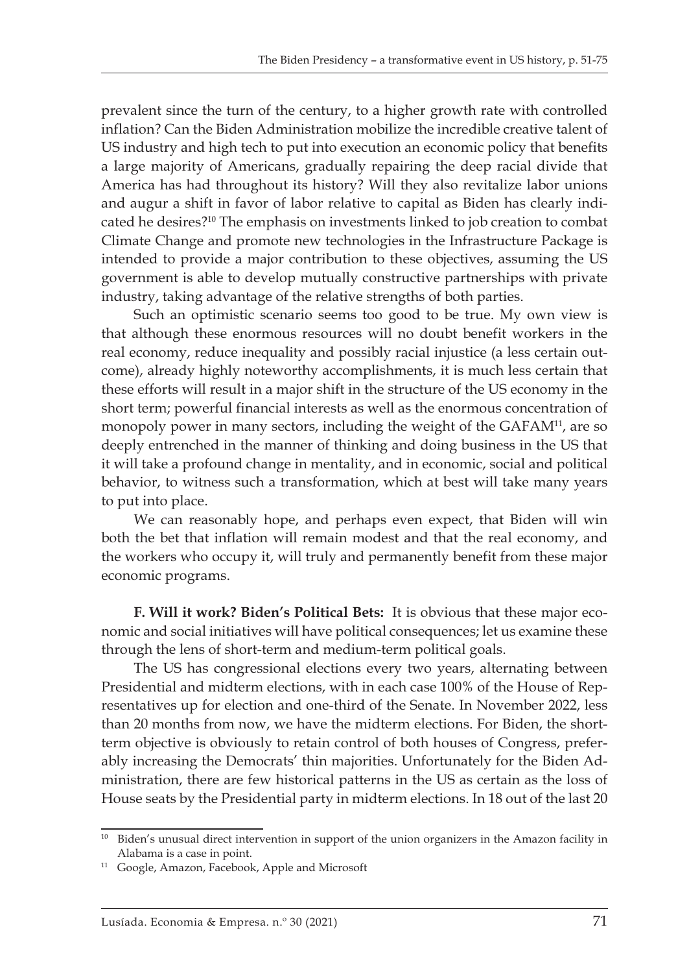prevalent since the turn of the century, to a higher growth rate with controlled inflation? Can the Biden Administration mobilize the incredible creative talent of US industry and high tech to put into execution an economic policy that benefits a large majority of Americans, gradually repairing the deep racial divide that America has had throughout its history? Will they also revitalize labor unions and augur a shift in favor of labor relative to capital as Biden has clearly indicated he desires?10 The emphasis on investments linked to job creation to combat Climate Change and promote new technologies in the Infrastructure Package is intended to provide a major contribution to these objectives, assuming the US government is able to develop mutually constructive partnerships with private industry, taking advantage of the relative strengths of both parties.

Such an optimistic scenario seems too good to be true. My own view is that although these enormous resources will no doubt benefit workers in the real economy, reduce inequality and possibly racial injustice (a less certain outcome), already highly noteworthy accomplishments, it is much less certain that these efforts will result in a major shift in the structure of the US economy in the short term; powerful financial interests as well as the enormous concentration of monopoly power in many sectors, including the weight of the GAFAM<sup>11</sup>, are so deeply entrenched in the manner of thinking and doing business in the US that it will take a profound change in mentality, and in economic, social and political behavior, to witness such a transformation, which at best will take many years to put into place.

We can reasonably hope, and perhaps even expect, that Biden will win both the bet that inflation will remain modest and that the real economy, and the workers who occupy it, will truly and permanently benefit from these major economic programs.

**F. Will it work? Biden's Political Bets:** It is obvious that these major economic and social initiatives will have political consequences; let us examine these through the lens of short-term and medium-term political goals.

The US has congressional elections every two years, alternating between Presidential and midterm elections, with in each case 100% of the House of Representatives up for election and one-third of the Senate. In November 2022, less than 20 months from now, we have the midterm elections. For Biden, the shortterm objective is obviously to retain control of both houses of Congress, preferably increasing the Democrats' thin majorities. Unfortunately for the Biden Administration, there are few historical patterns in the US as certain as the loss of House seats by the Presidential party in midterm elections. In 18 out of the last 20

<sup>&</sup>lt;sup>10</sup> Biden's unusual direct intervention in support of the union organizers in the Amazon facility in Alabama is a case in point.

<sup>&</sup>lt;sup>11</sup> Google, Amazon, Facebook, Apple and Microsoft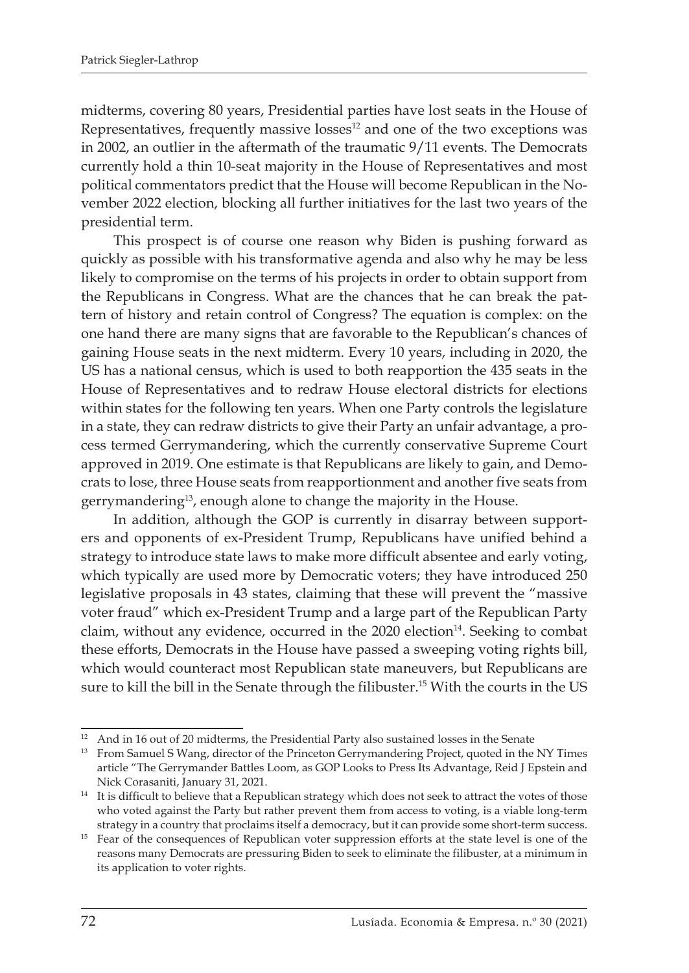midterms, covering 80 years, Presidential parties have lost seats in the House of Representatives, frequently massive losses<sup>12</sup> and one of the two exceptions was in 2002, an outlier in the aftermath of the traumatic 9/11 events. The Democrats currently hold a thin 10-seat majority in the House of Representatives and most political commentators predict that the House will become Republican in the November 2022 election, blocking all further initiatives for the last two years of the presidential term.

This prospect is of course one reason why Biden is pushing forward as quickly as possible with his transformative agenda and also why he may be less likely to compromise on the terms of his projects in order to obtain support from the Republicans in Congress. What are the chances that he can break the pattern of history and retain control of Congress? The equation is complex: on the one hand there are many signs that are favorable to the Republican's chances of gaining House seats in the next midterm. Every 10 years, including in 2020, the US has a national census, which is used to both reapportion the 435 seats in the House of Representatives and to redraw House electoral districts for elections within states for the following ten years. When one Party controls the legislature in a state, they can redraw districts to give their Party an unfair advantage, a process termed Gerrymandering, which the currently conservative Supreme Court approved in 2019. One estimate is that Republicans are likely to gain, and Democrats to lose, three House seats from reapportionment and another five seats from gerrymandering<sup>13</sup>, enough alone to change the majority in the House.

In addition, although the GOP is currently in disarray between supporters and opponents of ex-President Trump, Republicans have unified behind a strategy to introduce state laws to make more difficult absentee and early voting, which typically are used more by Democratic voters; they have introduced 250 legislative proposals in 43 states, claiming that these will prevent the "massive voter fraud" which ex-President Trump and a large part of the Republican Party claim, without any evidence, occurred in the  $2020$  election<sup>14</sup>. Seeking to combat these efforts, Democrats in the House have passed a sweeping voting rights bill, which would counteract most Republican state maneuvers, but Republicans are sure to kill the bill in the Senate through the filibuster.15 With the courts in the US

<sup>&</sup>lt;sup>12</sup> And in 16 out of 20 midterms, the Presidential Party also sustained losses in the Senate

<sup>&</sup>lt;sup>13</sup> From Samuel S Wang, director of the Princeton Gerrymandering Project, quoted in the NY Times article "The Gerrymander Battles Loom, as GOP Looks to Press Its Advantage, Reid J Epstein and Nick Corasaniti, January 31, 2021.

<sup>&</sup>lt;sup>14</sup> It is difficult to believe that a Republican strategy which does not seek to attract the votes of those who voted against the Party but rather prevent them from access to voting, is a viable long-term strategy in a country that proclaims itself a democracy, but it can provide some short-term success.

<sup>&</sup>lt;sup>15</sup> Fear of the consequences of Republican voter suppression efforts at the state level is one of the reasons many Democrats are pressuring Biden to seek to eliminate the filibuster, at a minimum in its application to voter rights.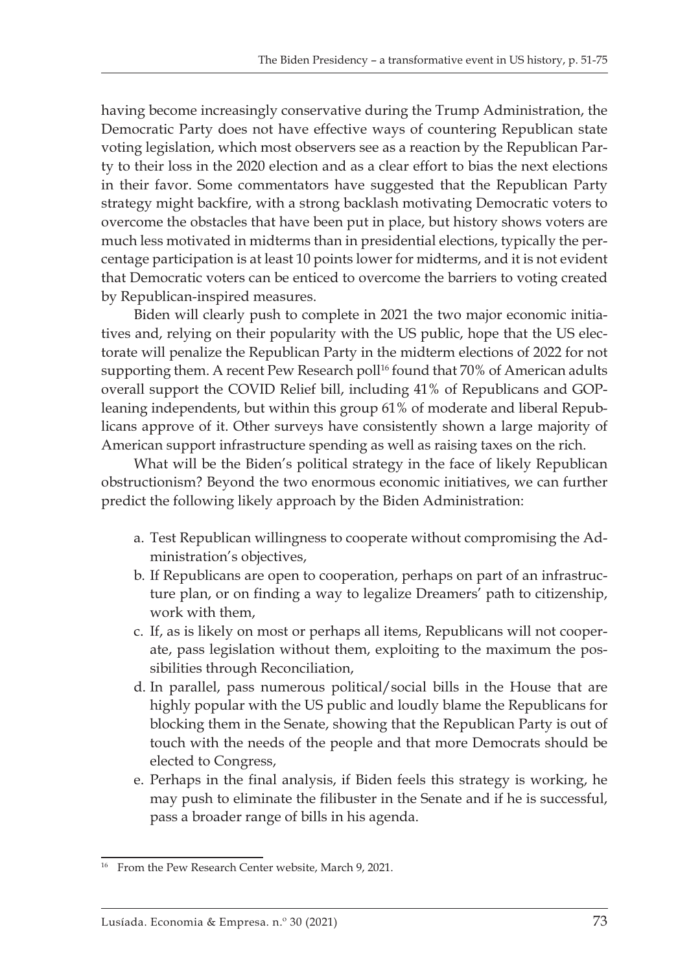having become increasingly conservative during the Trump Administration, the Democratic Party does not have effective ways of countering Republican state voting legislation, which most observers see as a reaction by the Republican Party to their loss in the 2020 election and as a clear effort to bias the next elections in their favor. Some commentators have suggested that the Republican Party strategy might backfire, with a strong backlash motivating Democratic voters to overcome the obstacles that have been put in place, but history shows voters are much less motivated in midterms than in presidential elections, typically the percentage participation is at least 10 points lower for midterms, and it is not evident that Democratic voters can be enticed to overcome the barriers to voting created by Republican-inspired measures.

Biden will clearly push to complete in 2021 the two major economic initiatives and, relying on their popularity with the US public, hope that the US electorate will penalize the Republican Party in the midterm elections of 2022 for not supporting them. A recent Pew Research poll<sup>16</sup> found that 70% of American adults overall support the COVID Relief bill, including 41% of Republicans and GOPleaning independents, but within this group 61% of moderate and liberal Republicans approve of it. Other surveys have consistently shown a large majority of American support infrastructure spending as well as raising taxes on the rich.

What will be the Biden's political strategy in the face of likely Republican obstructionism? Beyond the two enormous economic initiatives, we can further predict the following likely approach by the Biden Administration:

- a. Test Republican willingness to cooperate without compromising the Administration's objectives,
- b. If Republicans are open to cooperation, perhaps on part of an infrastructure plan, or on finding a way to legalize Dreamers' path to citizenship, work with them,
- c. If, as is likely on most or perhaps all items, Republicans will not cooperate, pass legislation without them, exploiting to the maximum the possibilities through Reconciliation,
- d. In parallel, pass numerous political/social bills in the House that are highly popular with the US public and loudly blame the Republicans for blocking them in the Senate, showing that the Republican Party is out of touch with the needs of the people and that more Democrats should be elected to Congress,
- e. Perhaps in the final analysis, if Biden feels this strategy is working, he may push to eliminate the filibuster in the Senate and if he is successful, pass a broader range of bills in his agenda.

<sup>&</sup>lt;sup>16</sup> From the Pew Research Center website, March 9, 2021.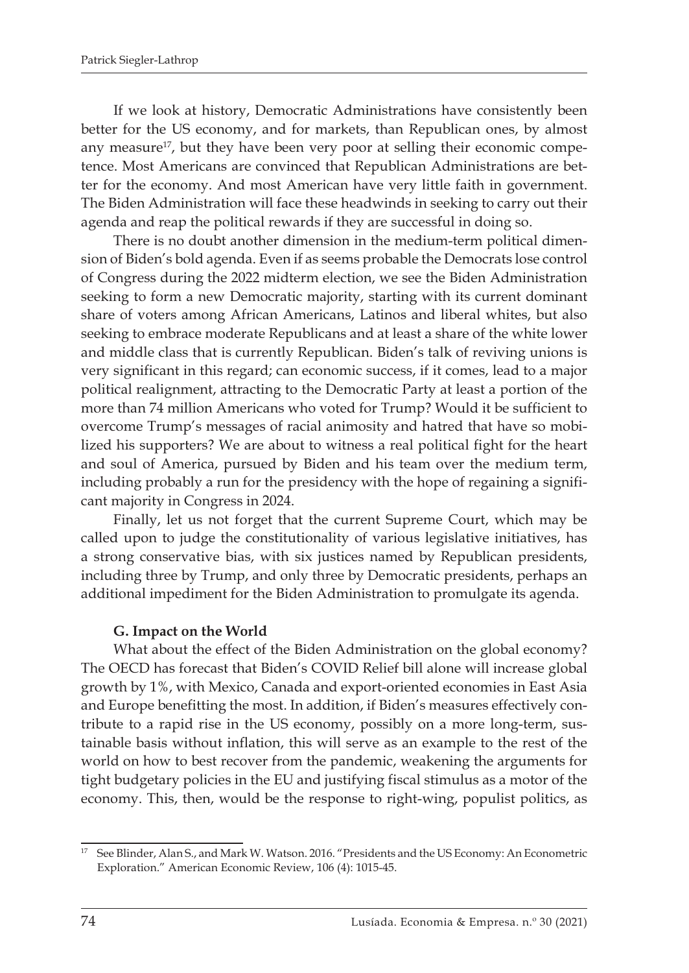If we look at history, Democratic Administrations have consistently been better for the US economy, and for markets, than Republican ones, by almost any measure<sup>17</sup>, but they have been very poor at selling their economic competence. Most Americans are convinced that Republican Administrations are better for the economy. And most American have very little faith in government. The Biden Administration will face these headwinds in seeking to carry out their agenda and reap the political rewards if they are successful in doing so.

There is no doubt another dimension in the medium-term political dimension of Biden's bold agenda. Even if as seems probable the Democrats lose control of Congress during the 2022 midterm election, we see the Biden Administration seeking to form a new Democratic majority, starting with its current dominant share of voters among African Americans, Latinos and liberal whites, but also seeking to embrace moderate Republicans and at least a share of the white lower and middle class that is currently Republican. Biden's talk of reviving unions is very significant in this regard; can economic success, if it comes, lead to a major political realignment, attracting to the Democratic Party at least a portion of the more than 74 million Americans who voted for Trump? Would it be sufficient to overcome Trump's messages of racial animosity and hatred that have so mobilized his supporters? We are about to witness a real political fight for the heart and soul of America, pursued by Biden and his team over the medium term, including probably a run for the presidency with the hope of regaining a significant majority in Congress in 2024.

Finally, let us not forget that the current Supreme Court, which may be called upon to judge the constitutionality of various legislative initiatives, has a strong conservative bias, with six justices named by Republican presidents, including three by Trump, and only three by Democratic presidents, perhaps an additional impediment for the Biden Administration to promulgate its agenda.

#### **G. Impact on the World**

What about the effect of the Biden Administration on the global economy? The OECD has forecast that Biden's COVID Relief bill alone will increase global growth by 1%, with Mexico, Canada and export-oriented economies in East Asia and Europe benefitting the most. In addition, if Biden's measures effectively contribute to a rapid rise in the US economy, possibly on a more long-term, sustainable basis without inflation, this will serve as an example to the rest of the world on how to best recover from the pandemic, weakening the arguments for tight budgetary policies in the EU and justifying fiscal stimulus as a motor of the economy. This, then, would be the response to right-wing, populist politics, as

<sup>&</sup>lt;sup>17</sup> See Blinder, Alan S., and Mark W. Watson. 2016. "Presidents and the US Economy: An Econometric Exploration." American Economic Review, 106 (4): 1015-45.